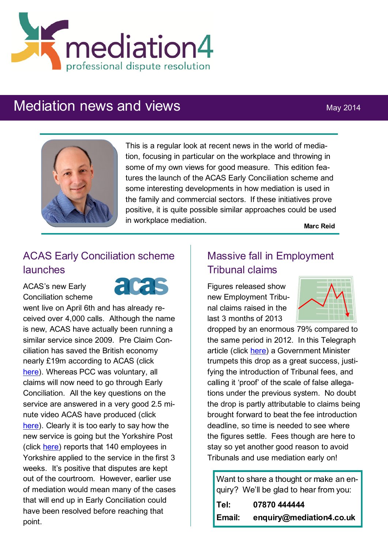

# Mediation news and views May 2014



This is a regular look at recent news in the world of mediation, focusing in particular on the workplace and throwing in some of my own views for good measure. This edition features the launch of the ACAS Early Conciliation scheme and some interesting developments in how mediation is used in the family and commercial sectors. If these initiatives prove positive, it is quite possible similar approaches could be used in workplace mediation.

**Marc Reid**

## ACAS Early Conciliation scheme launches

ACAS's new Early Conciliation scheme



went live on April 6th and has already received over 4,000 calls. Although the name is new, ACAS have actually been running a similar service since 2009. Pre Claim Conciliation has saved the British economy nearly £19m according to ACAS (click [here\).](http://www.cipd.co.uk/pm/peoplemanagement/b/weblog/archive/2014/04/07/acas-says-pre-claim-conciliation-saved-british-economy-millions.aspx) Whereas PCC was voluntary, all claims will now need to go through Early Conciliation. All the key questions on the service are answered in a very good 2.5 minute video ACAS have produced (click [here\).](https://www.youtube.com/watch?v=_vZfNxsjrcU&feature=youtu.be) Clearly it is too early to say how the new service is going but the Yorkshire Post (click [here\)](http://www.yorkshirepost.co.uk/business/business-news/employees-attempt-dispute-resolution-before-tribunal-1-6581159) reports that 140 employees in Yorkshire applied to the service in the first 3 weeks. It's positive that disputes are kept out of the courtroom. However, earlier use of mediation would mean many of the cases that will end up in Early Conciliation could have been resolved before reaching that point.

#### Massive fall in Employment Tribunal claims

Figures released show new Employment Tribunal claims raised in the last 3 months of 2013



dropped by an enormous 79% compared to the same period in 2012. In this Telegraph article (click [here\)](http://www.telegraph.co.uk/news/politics/10790715/Minister-hails-80pc-fall-in-employment-tribunals.html) a Government Minister trumpets this drop as a great success, justifying the introduction of Tribunal fees, and calling it 'proof' of the scale of false allegations under the previous system. No doubt the drop is partly attributable to claims being brought forward to beat the fee introduction deadline, so time is needed to see where the figures settle. Fees though are here to stay so yet another good reason to avoid Tribunals and use mediation early on!

Want to share a thought or make an enquiry? We'll be glad to hear from you:

| Tel:   | 07870 444444             |
|--------|--------------------------|
| Email: | enquiry@mediation4.co.uk |